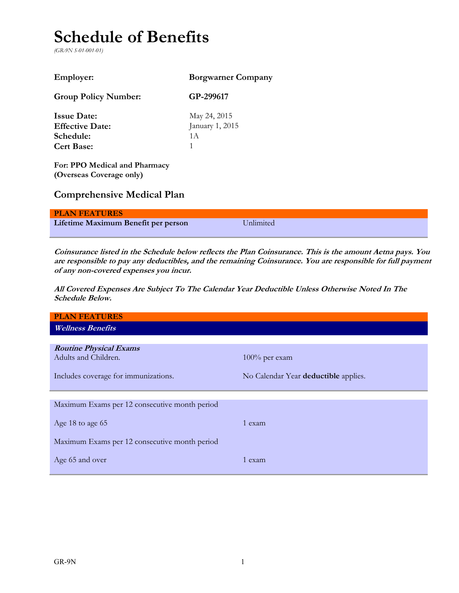# **Schedule of Benefits**

*(GR-9N S-01-001-01)*

| <b>Employer:</b>            | <b>Borgwarner Company</b> |
|-----------------------------|---------------------------|
| <b>Group Policy Number:</b> | GP-299617                 |
| <b>Issue Date:</b>          | May 24, 2015              |
| <b>Effective Date:</b>      | January 1, 2015           |
| Schedule:                   | 1 A                       |
| <b>Cert Base:</b>           |                           |
|                             |                           |

**For: PPO Medical and Pharmacy (Overseas Coverage only)** 

# **Comprehensive Medical Plan**

| <b>PLAN FEATURES</b>                |                  |
|-------------------------------------|------------------|
| Lifetime Maximum Benefit per person | <b>Unlimited</b> |

**Coinsurance listed in the Schedule below reflects the Plan Coinsurance. This is the amount Aetna pays. You are responsible to pay any deductibles, and the remaining Coinsurance. You are responsible for full payment of any non-covered expenses you incur.**

**All Covered Expenses Are Subject To The Calendar Year Deductible Unless Otherwise Noted In The Schedule Below.**

| <b>PLAN FEATURES</b>                                  |                                      |
|-------------------------------------------------------|--------------------------------------|
| <b>Wellness Benefits</b>                              |                                      |
|                                                       |                                      |
| <b>Routine Physical Exams</b><br>Adults and Children. | $100\%$ per exam                     |
| Includes coverage for immunizations.                  | No Calendar Year deductible applies. |
|                                                       |                                      |
|                                                       |                                      |
| Maximum Exams per 12 consecutive month period         |                                      |
| Age 18 to age 65                                      | 1 exam                               |
| Maximum Exams per 12 consecutive month period         |                                      |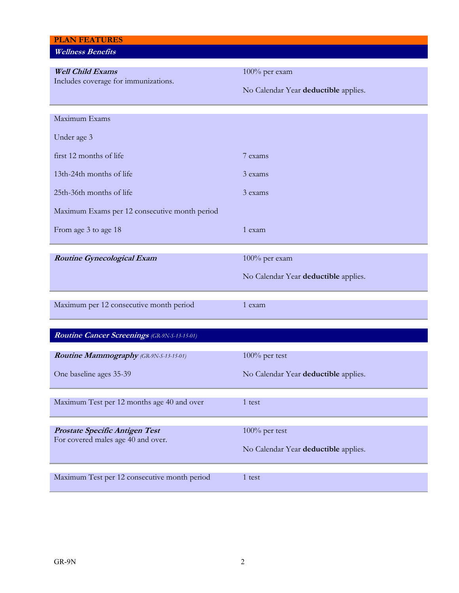| <b>PLAN FEATURES</b><br><b>Wellness Benefits</b> |                                      |
|--------------------------------------------------|--------------------------------------|
| <b>Well Child Exams</b>                          | 100% per exam                        |
| Includes coverage for immunizations.             | No Calendar Year deductible applies. |
| Maximum Exams                                    |                                      |
| Under age 3                                      |                                      |
| first 12 months of life                          | 7 exams                              |
| 13th-24th months of life                         | 3 exams                              |
| 25th-36th months of life                         | 3 exams                              |
| Maximum Exams per 12 consecutive month period    |                                      |
| From age 3 to age 18                             | 1 exam                               |
| <b>Routine Gynecological Exam</b>                | 100% per exam                        |
|                                                  | No Calendar Year deductible applies. |
| Maximum per 12 consecutive month period          | 1 exam                               |
| Routine Cancer Screenings (GR-9N-S-13-15-01)     |                                      |
| Routine Mammography (GR-9N-S-13-15-01)           | $100\%$ per test                     |
| One baseline ages 35-39                          | No Calendar Year deductible applies. |
| Maximum Test per 12 months age 40 and over       | 1 test                               |
|                                                  |                                      |
| Prostate Specific Antigen Test                   | 100% per test                        |
| For covered males age 40 and over.               | No Calendar Year deductible applies. |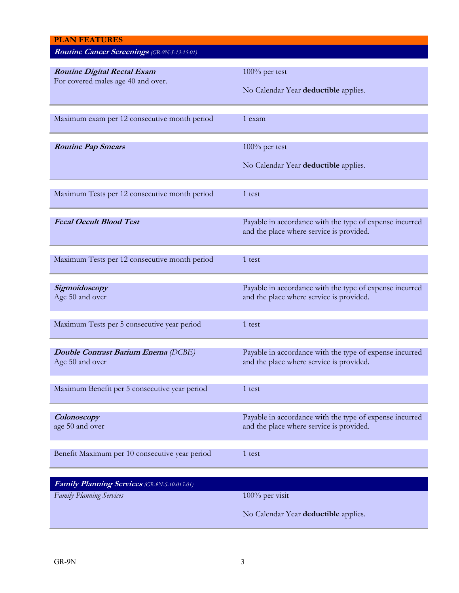| <b>PLAN FEATURES</b>                           |                                                         |
|------------------------------------------------|---------------------------------------------------------|
| Routine Cancer Screenings (GR-9N-S-13-15-01)   |                                                         |
|                                                |                                                         |
| <b>Routine Digital Rectal Exam</b>             | $100\%$ per test                                        |
| For covered males age 40 and over.             |                                                         |
|                                                | No Calendar Year deductible applies.                    |
|                                                |                                                         |
| Maximum exam per 12 consecutive month period   | 1 exam                                                  |
|                                                |                                                         |
|                                                |                                                         |
| <b>Routine Pap Smears</b>                      | $100\%$ per test                                        |
|                                                |                                                         |
|                                                | No Calendar Year deductible applies.                    |
|                                                |                                                         |
| Maximum Tests per 12 consecutive month period  | 1 test                                                  |
|                                                |                                                         |
|                                                |                                                         |
| <b>Fecal Occult Blood Test</b>                 | Payable in accordance with the type of expense incurred |
|                                                | and the place where service is provided.                |
|                                                |                                                         |
|                                                |                                                         |
| Maximum Tests per 12 consecutive month period  | 1 test                                                  |
|                                                |                                                         |
| Sigmoidoscopy                                  | Payable in accordance with the type of expense incurred |
| Age 50 and over                                | and the place where service is provided.                |
|                                                |                                                         |
|                                                |                                                         |
| Maximum Tests per 5 consecutive year period    | 1 test                                                  |
|                                                |                                                         |
| Double Contrast Barium Enema (DCBE)            | Payable in accordance with the type of expense incurred |
| Age 50 and over                                | and the place where service is provided.                |
|                                                |                                                         |
|                                                |                                                         |
| Maximum Benefit per 5 consecutive year period  | 1 test                                                  |
|                                                |                                                         |
| Colonoscopy                                    | Payable in accordance with the type of expense incurred |
| age 50 and over                                | and the place where service is provided.                |
|                                                |                                                         |
|                                                |                                                         |
| Benefit Maximum per 10 consecutive year period | 1 test                                                  |
|                                                |                                                         |
| Family Planning Services (GR-9N-S-10-015-01)   |                                                         |
|                                                |                                                         |
| <b>Family Planning Services</b>                | 100% per visit                                          |
|                                                | No Calendar Year deductible applies.                    |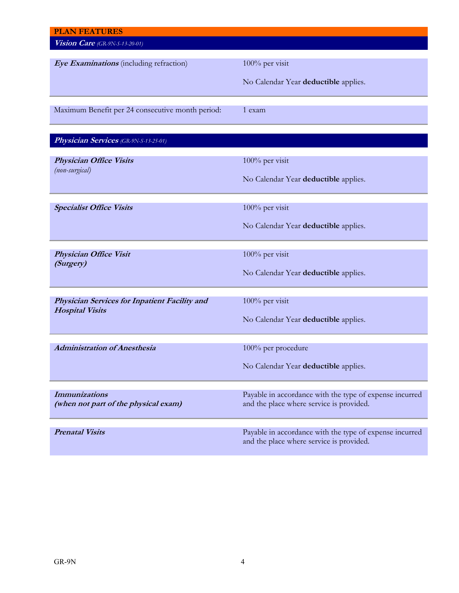| <b>PLAN FEATURES</b>                                                    |                                                                                                     |
|-------------------------------------------------------------------------|-----------------------------------------------------------------------------------------------------|
| Vision Care (GR-9N-S-13-20-01)                                          |                                                                                                     |
|                                                                         |                                                                                                     |
| Eye Examinations (including refraction)                                 | 100% per visit                                                                                      |
|                                                                         |                                                                                                     |
|                                                                         | No Calendar Year deductible applies.                                                                |
|                                                                         |                                                                                                     |
| Maximum Benefit per 24 consecutive month period:                        | 1 exam                                                                                              |
|                                                                         |                                                                                                     |
|                                                                         |                                                                                                     |
| Physician Services (GR-9N-S-13-25-01)                                   |                                                                                                     |
| <b>Physician Office Visits</b>                                          | 100% per visit                                                                                      |
| (non-surgical)                                                          |                                                                                                     |
|                                                                         | No Calendar Year deductible applies.                                                                |
|                                                                         |                                                                                                     |
| <b>Specialist Office Visits</b>                                         | 100% per visit                                                                                      |
|                                                                         |                                                                                                     |
|                                                                         | No Calendar Year deductible applies.                                                                |
|                                                                         |                                                                                                     |
| <b>Physician Office Visit</b>                                           | 100% per visit                                                                                      |
| (Surgery)                                                               |                                                                                                     |
|                                                                         | No Calendar Year deductible applies.                                                                |
|                                                                         |                                                                                                     |
|                                                                         | 100% per visit                                                                                      |
| Physician Services for Inpatient Facility and<br><b>Hospital Visits</b> |                                                                                                     |
|                                                                         | No Calendar Year deductible applies.                                                                |
|                                                                         |                                                                                                     |
| <b>Administration of Anesthesia</b>                                     | 100% per procedure                                                                                  |
|                                                                         |                                                                                                     |
|                                                                         | No Calendar Year deductible applies.                                                                |
|                                                                         |                                                                                                     |
|                                                                         |                                                                                                     |
| <b>Immunizations</b><br>(when not part of the physical exam)            | Payable in accordance with the type of expense incurred<br>and the place where service is provided. |
|                                                                         |                                                                                                     |
|                                                                         |                                                                                                     |
| <b>Prenatal Visits</b>                                                  | Payable in accordance with the type of expense incurred                                             |
|                                                                         | and the place where service is provided.                                                            |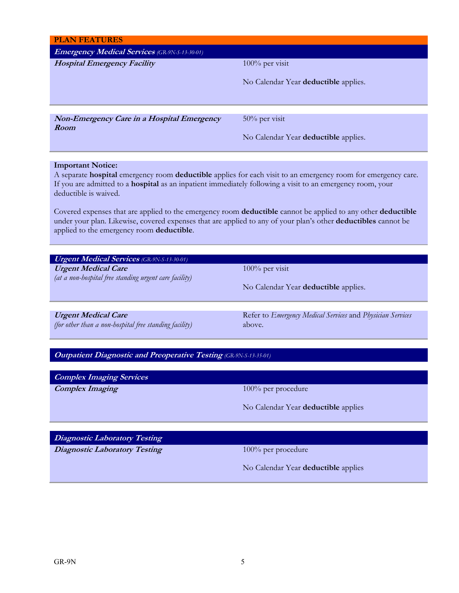| <b>PLAN FEATURES</b>                                                                 |                                                                                                                   |
|--------------------------------------------------------------------------------------|-------------------------------------------------------------------------------------------------------------------|
| <b>Emergency Medical Services</b> (GR-9N-S-13-30-01)                                 |                                                                                                                   |
| <b>Hospital Emergency Facility</b>                                                   | 100% per visit                                                                                                    |
|                                                                                      | No Calendar Year deductible applies.                                                                              |
|                                                                                      |                                                                                                                   |
|                                                                                      |                                                                                                                   |
| <b>Non-Emergency Care in a Hospital Emergency</b>                                    | 50% per visit                                                                                                     |
| Room                                                                                 |                                                                                                                   |
|                                                                                      | No Calendar Year deductible applies.                                                                              |
|                                                                                      |                                                                                                                   |
| <b>Important Notice:</b>                                                             | A separate hospital emergency room deductible applies for each visit to an emergency room for emergency care.     |
|                                                                                      | If you are admitted to a <b>hospital</b> as an inpatient immediately following a visit to an emergency room, your |
| deductible is waived.                                                                |                                                                                                                   |
|                                                                                      | Covered expenses that are applied to the emergency room deductible cannot be applied to any other deductible      |
|                                                                                      | under your plan. Likewise, covered expenses that are applied to any of your plan's other deductibles cannot be    |
| applied to the emergency room deductible.                                            |                                                                                                                   |
|                                                                                      |                                                                                                                   |
| <b>Urgent Medical Services</b> (GR-9N-S-13-30-01)                                    |                                                                                                                   |
|                                                                                      |                                                                                                                   |
| <b>Urgent Medical Care</b>                                                           | 100% per visit                                                                                                    |
| (at a non-hospital free standing urgent care facility)                               | No Calendar Year deductible applies.                                                                              |
|                                                                                      |                                                                                                                   |
|                                                                                      |                                                                                                                   |
| <b>Urgent Medical Care</b><br>(for other than a non-hospital free standing facility) | Refer to Emergency Medical Services and Physician Services<br>above.                                              |
|                                                                                      |                                                                                                                   |
|                                                                                      |                                                                                                                   |
| <b>Outpatient Diagnostic and Preoperative Testing (GR-9N-S-13-35-01)</b>             |                                                                                                                   |
| <b>Complex Imaging Services</b>                                                      |                                                                                                                   |
| <b>Complex Imaging</b>                                                               | 100% per procedure                                                                                                |
|                                                                                      |                                                                                                                   |
|                                                                                      | No Calendar Year deductible applies                                                                               |
|                                                                                      |                                                                                                                   |
| <b>Diagnostic Laboratory Testing</b>                                                 |                                                                                                                   |
| <b>Diagnostic Laboratory Testing</b>                                                 | 100% per procedure                                                                                                |
|                                                                                      | No Calendar Year deductible applies                                                                               |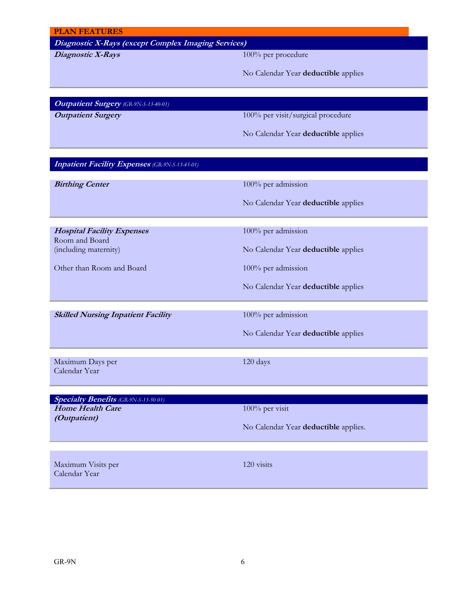#### **PLAN FEATURES**

# **Diagnostic X-Rays (except Complex Imaging Services)**

**Diagnostic X-Rays** 100% per procedure

No Calendar Year **deductible** applies

**Outpatient Surgery** *(GR-9N-S-13-40-01)*

**Outpatient Surgery** 100% per visit/surgical procedure

No Calendar Year **deductible** applies

## **Inpatient Facility Expenses** *(GR-9N-S-13-45-01)*

**Birthing Center** 100% per admission

No Calendar Year **deductible** applies

**Hospital Facility Expenses** Room and Board (including maternity)

Other than Room and Board 100% per admission

**Skilled Nursing Inpatient Facility** 100% per admission

No Calendar Year **deductible** applies

100% per admission

No Calendar Year **deductible** applies

No Calendar Year **deductible** applies

Maximum Days per Calendar Year

120 days

| <b>Specialty Benefits</b> (GR-9N-S-13-50 01) |                                      |
|----------------------------------------------|--------------------------------------|
| <b>Home Health Care</b>                      | 100% per visit                       |
| <i>(Outpatient)</i>                          |                                      |
|                                              | No Calendar Year deductible applies. |
|                                              |                                      |
|                                              |                                      |
|                                              |                                      |
|                                              |                                      |
| Maximum Visits per                           | 120 visits                           |

Calendar Year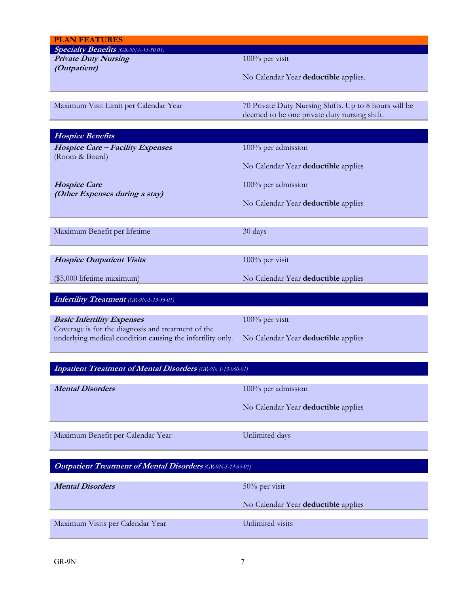| <b>Specialty Benefits</b> (GR-9N-S-13-50 01)<br><b>Private Duty Nursing</b> | 100% per visit                                        |
|-----------------------------------------------------------------------------|-------------------------------------------------------|
| (Outpatient)                                                                |                                                       |
|                                                                             | No Calendar Year deductible applies.                  |
|                                                                             |                                                       |
| Maximum Visit Limit per Calendar Year                                       | 70 Private Duty Nursing Shifts. Up to 8 hours will be |
|                                                                             | deemed to be one private duty nursing shift.          |
| <b>Hospice Benefits</b>                                                     |                                                       |
| <b>Hospice Care - Facility Expenses</b>                                     | 100% per admission                                    |
| (Room & Board)                                                              |                                                       |
|                                                                             | No Calendar Year deductible applies                   |
| <b>Hospice Care</b>                                                         | 100% per admission                                    |
| (Other Expenses during a stay)                                              |                                                       |
|                                                                             | No Calendar Year deductible applies                   |
|                                                                             |                                                       |
| Maximum Benefit per lifetime                                                | 30 days                                               |
|                                                                             |                                                       |
| <b>Hospice Outpatient Visits</b>                                            | 100% per visit                                        |
| (\$5,000 lifetime maximum)                                                  | No Calendar Year deductible applies                   |
|                                                                             |                                                       |
| <b>Infertility Treatment</b> (GR-9N-S-13-55-01)                             |                                                       |
| <b>Basic Infertility Expenses</b>                                           | 100% per visit                                        |
| Coverage is for the diagnosis and treatment of the                          |                                                       |
| underlying medical condition causing the infertility only.                  | No Calendar Year deductible applies                   |
|                                                                             |                                                       |
|                                                                             |                                                       |
| <b>Inpatient Treatment of Mental Disorders</b> (GR-9N S-13-060-01)          |                                                       |
|                                                                             |                                                       |
| <b>Mental Disorders</b>                                                     | 100% per admission                                    |
|                                                                             | No Calendar Year deductible applies                   |
|                                                                             |                                                       |
| Maximum Benefit per Calendar Year                                           | Unlimited days                                        |
|                                                                             |                                                       |
|                                                                             |                                                       |
| <b>Outpatient Treatment of Mental Disorders (GR-9N-S-13-65-01)</b>          |                                                       |
| <b>Mental Disorders</b>                                                     | 50% per visit                                         |
|                                                                             |                                                       |
|                                                                             | No Calendar Year deductible applies                   |
| Maximum Visits per Calendar Year                                            | Unlimited visits                                      |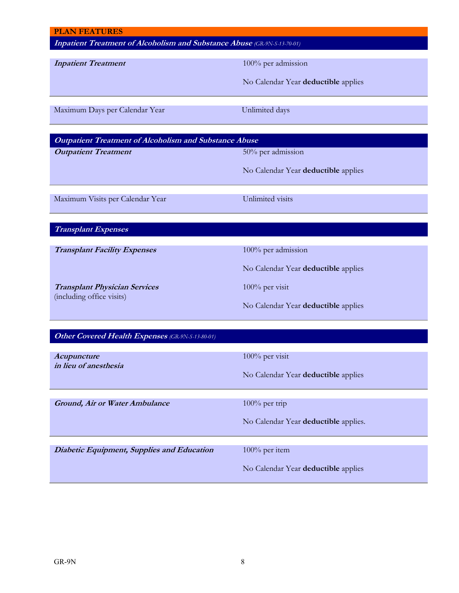| <b>PLAN FEATURES</b>                                                            |                                      |
|---------------------------------------------------------------------------------|--------------------------------------|
| <b>Inpatient Treatment of Alcoholism and Substance Abuse</b> (GR-9N-S-13-70-01) |                                      |
| <b>Inpatient Treatment</b>                                                      | 100% per admission                   |
|                                                                                 |                                      |
|                                                                                 | No Calendar Year deductible applies  |
| Maximum Days per Calendar Year                                                  | Unlimited days                       |
|                                                                                 |                                      |
| <b>Outpatient Treatment of Alcoholism and Substance Abuse</b>                   |                                      |
| <b>Outpatient Treatment</b>                                                     | 50% per admission                    |
|                                                                                 | No Calendar Year deductible applies  |
|                                                                                 |                                      |
| Maximum Visits per Calendar Year                                                | Unlimited visits                     |
|                                                                                 |                                      |
| <b>Transplant Expenses</b>                                                      |                                      |
|                                                                                 |                                      |
| <b>Transplant Facility Expenses</b>                                             | 100% per admission                   |
|                                                                                 | No Calendar Year deductible applies  |
| <b>Transplant Physician Services</b>                                            | 100% per visit                       |
| (including office visits)                                                       | No Calendar Year deductible applies  |
|                                                                                 |                                      |
| Other Covered Health Expenses (GR-9N-S-13-80-01)                                |                                      |
|                                                                                 |                                      |
| <i>Acupuncture</i><br>in lieu of anesthesia                                     | 100% per visit                       |
|                                                                                 | No Calendar Year deductible applies  |
|                                                                                 |                                      |
| Ground, Air or Water Ambulance                                                  | $100\%$ per trip                     |
|                                                                                 | No Calendar Year deductible applies. |
|                                                                                 |                                      |
| Diabetic Equipment, Supplies and Education                                      | 100% per item                        |
|                                                                                 | No Calendar Year deductible applies  |
|                                                                                 |                                      |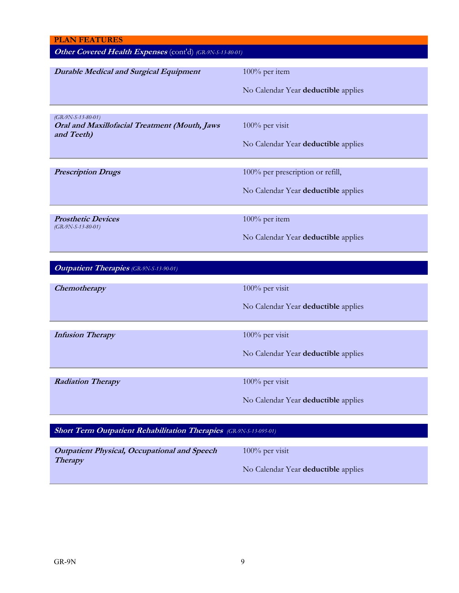| <b>PLAN FEATURES</b>                                                                |                                                                         |
|-------------------------------------------------------------------------------------|-------------------------------------------------------------------------|
| Other Covered Health Expenses (cont'd) (GR-9N-S-13-80-01)                           |                                                                         |
| <b>Durable Medical and Surgical Equipment</b>                                       | 100% per item<br>No Calendar Year deductible applies                    |
| $(GR-9N-S-13-80-01)$<br>Oral and Maxillofacial Treatment (Mouth, Jaws<br>and Teeth) | 100% per visit<br>No Calendar Year deductible applies                   |
| <b>Prescription Drugs</b>                                                           | 100% per prescription or refill,<br>No Calendar Year deductible applies |
| <b>Prosthetic Devices</b><br>$(GR-9N-S-13-80-01)$                                   | 100% per item<br>No Calendar Year deductible applies                    |
| <b>Outpatient Therapies</b> (GR-9N-S-13-90-01)                                      |                                                                         |
| Chemotherapy                                                                        | 100% per visit<br>No Calendar Year deductible applies                   |
| <b>Infusion Therapy</b>                                                             | 100% per visit<br>No Calendar Year deductible applies                   |
| <b>Radiation Therapy</b>                                                            | 100% per visit<br>No Calendar Year deductible applies                   |
| <b>Short Term Outpatient Rehabilitation Therapies</b> (GR-9N-S-13-095-01)           |                                                                         |
| <b>Outpatient Physical, Occupational and Speech</b>                                 | 100% per visit                                                          |

No Calendar Year **deductible** applies

**Therapy**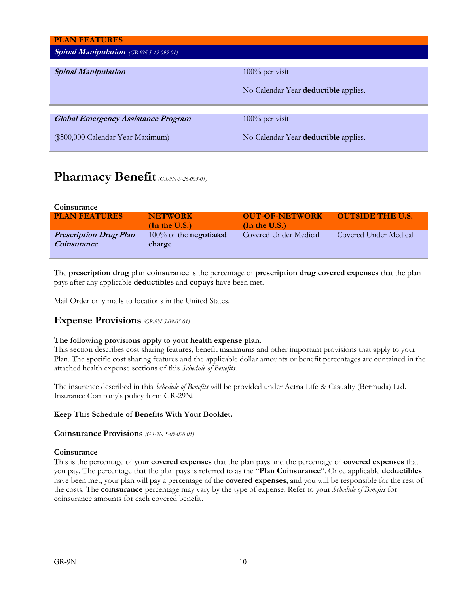| <b>PLAN FEATURES</b>                           |                                      |
|------------------------------------------------|--------------------------------------|
| <b>Spinal Manipulation</b> (GR-9N-S-13-095-01) |                                      |
|                                                |                                      |
| <b>Spinal Manipulation</b>                     | 100% per visit                       |
|                                                |                                      |
|                                                | No Calendar Year deductible applies. |
|                                                |                                      |
|                                                |                                      |
| <b>Global Emergency Assistance Program</b>     | $100\%$ per visit                    |
|                                                |                                      |
| (\$500,000 Calendar Year Maximum)              | No Calendar Year deductible applies. |
|                                                |                                      |

# **Pharmacy Benefit***(GR-9N-S-26-005-01)*

| Coinsurance                   |                                  |                       |                         |
|-------------------------------|----------------------------------|-----------------------|-------------------------|
| <b>PLAN FEATURES</b>          | <b>NETWORK</b>                   | <b>OUT-OF-NETWORK</b> | <b>OUTSIDE THE U.S.</b> |
|                               | (In the U.S.)                    | (In the U.S.)         |                         |
| <b>Prescription Drug Plan</b> | $100\%$ of the <b>negotiated</b> | Covered Under Medical | Covered Under Medical   |
| <i>Coinsurance</i>            | charge                           |                       |                         |
|                               |                                  |                       |                         |

The **prescription drug** plan **coinsurance** is the percentage of **prescription drug covered expenses** that the plan pays after any applicable **deductibles** and **copays** have been met.

Mail Order only mails to locations in the United States.

## **Expense Provisions** *(GR-9N S-09-05 01)*

### **The following provisions apply to your health expense plan.**

This section describes cost sharing features, benefit maximums and other important provisions that apply to your Plan. The specific cost sharing features and the applicable dollar amounts or benefit percentages are contained in the attached health expense sections of this *Schedule of Benefits*.

The insurance described in this *Schedule of Benefits* will be provided under Aetna Life & Casualty (Bermuda) Ltd. Insurance Company's policy form GR-29N.

### **Keep This Schedule of Benefits With Your Booklet.**

### **Coinsurance Provisions** *(GR-9N S-09-020 01)*

### **Coinsurance**

This is the percentage of your **covered expenses** that the plan pays and the percentage of **covered expenses** that you pay. The percentage that the plan pays is referred to as the "**Plan Coinsurance**". Once applicable **deductibles** have been met, your plan will pay a percentage of the **covered expenses**, and you will be responsible for the rest of the costs. The **coinsurance** percentage may vary by the type of expense. Refer to your *Schedule of Benefits* for coinsurance amounts for each covered benefit.